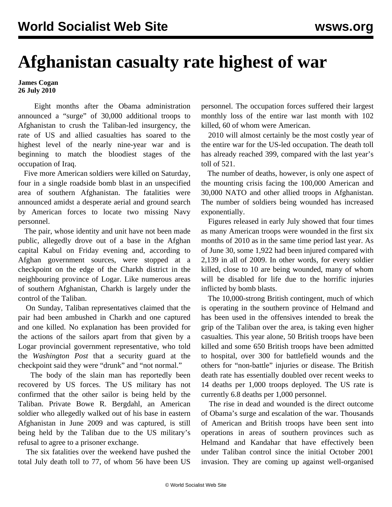## **Afghanistan casualty rate highest of war**

**James Cogan 26 July 2010**

 Eight months after the Obama administration announced a "surge" of 30,000 additional troops to Afghanistan to crush the Taliban-led insurgency, the rate of US and allied casualties has soared to the highest level of the nearly nine-year war and is beginning to match the bloodiest stages of the occupation of Iraq.

 Five more American soldiers were killed on Saturday, four in a single roadside bomb blast in an unspecified area of southern Afghanistan. The fatalities were announced amidst a desperate aerial and ground search by American forces to locate two missing Navy personnel.

 The pair, whose identity and unit have not been made public, allegedly drove out of a base in the Afghan capital Kabul on Friday evening and, according to Afghan government sources, were stopped at a checkpoint on the edge of the Charkh district in the neighbouring province of Logar. Like numerous areas of southern Afghanistan, Charkh is largely under the control of the Taliban.

 On Sunday, Taliban representatives claimed that the pair had been ambushed in Charkh and one captured and one killed. No explanation has been provided for the actions of the sailors apart from that given by a Logar provincial government representative, who told the *Washington Post* that a security guard at the checkpoint said they were "drunk" and "not normal."

 The body of the slain man has reportedly been recovered by US forces. The US military has not confirmed that the other sailor is being held by the Taliban. Private Bowe R. Bergdahl, an American soldier who allegedly walked out of his base in eastern Afghanistan in June 2009 and was captured, is still being held by the Taliban due to the US military's refusal to agree to a prisoner exchange.

 The six fatalities over the weekend have pushed the total July death toll to 77, of whom 56 have been US

personnel. The occupation forces suffered their largest monthly loss of the entire war last month with 102 killed, 60 of whom were American.

 2010 will almost certainly be the most costly year of the entire war for the US-led occupation. The death toll has already reached 399, compared with the last year's toll of 521.

 The number of deaths, however, is only one aspect of the mounting crisis facing the 100,000 American and 30,000 NATO and other allied troops in Afghanistan. The number of soldiers being wounded has increased exponentially.

 Figures released in early July showed that four times as many American troops were wounded in the first six months of 2010 as in the same time period last year. As of June 30, some 1,922 had been injured compared with 2,139 in all of 2009. In other words, for every soldier killed, close to 10 are being wounded, many of whom will be disabled for life due to the horrific injuries inflicted by bomb blasts.

 The 10,000-strong British contingent, much of which is operating in the southern province of Helmand and has been used in the offensives intended to break the grip of the Taliban over the area, is taking even higher casualties. This year alone, 50 British troops have been killed and some 650 British troops have been admitted to hospital, over 300 for battlefield wounds and the others for "non-battle" injuries or disease. The British death rate has essentially doubled over recent weeks to 14 deaths per 1,000 troops deployed. The US rate is currently 6.8 deaths per 1,000 personnel.

 The rise in dead and wounded is the direct outcome of Obama's surge and escalation of the war. Thousands of American and British troops have been sent into operations in areas of southern provinces such as Helmand and Kandahar that have effectively been under Taliban control since the initial October 2001 invasion. They are coming up against well-organised